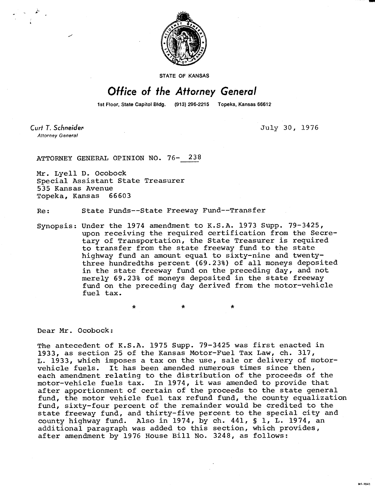

**STATE OF KANSAS** 

## **Office of the Attorney General**

1st Floor, State Capitol Bldg. (913) 296-2215 Topeka, Kansas 66612

Curt T. Schneider **Attorney General** 

July 30, 1976

M1-1043

ATTORNEY GENERAL OPINION NO. 76- 238

Mr. Lyell D. Ocobock Special Assistant State Treasurer 535 Kansas Avenue Topeka, Kansas 66603

Re: State Funds--State Freeway Fund--Transfer

\*

Synopsis: Under the 1974 amendment to K.S.A. 1973 Supp. 79-3425, upon receiving the required certification from the Secretary of Transportation, the State Treasurer is required to transfer from the state freeway fund to the state highway fund an amount equal to sixty-nine and twentythree hundredths percent (69.23%) of all moneys deposited in the state freeway fund on the preceding day, and not merely 69.23% of moneys deposited in the state freeway fund on the preceding day derived from the motor-vehicle fuel tax.

Dear Mr. Ocobock:

The antecedent of K.S.A. 1975 Supp. 79-3425 was first enacted in 1933, as section 25 of the Kansas Motor-Fuel Tax Law, ch. 317, L. 1933, which imposes a tax on the use, sale or delivery of motorvehicle fuels. It has been amended numerous times since then, each amendment relating to the distribution of the proceeds of the motor-vehicle fuels tax. In 1974, it was amended to provide that after apportionment of certain of the proceeds to the state general fund, the motor vehicle fuel tax refund fund, the county equalization fund, sixty-four percent of the remainder would be credited to the state freeway fund, and thirty-five percent to the special city and county highway fund. Also in 1974, by ch. 441, § 1, L. 1974, an additional paragraph was added to this section, which provides, after amendment by 1976 House Bill No. 3248, as follows: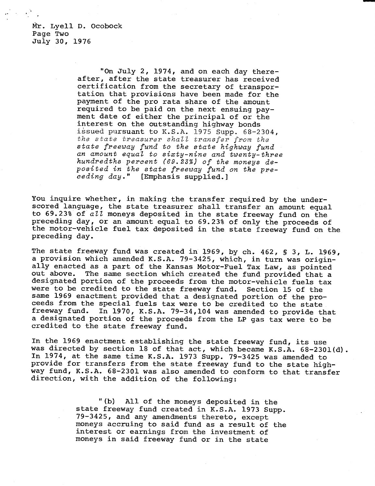Mr. Lyell D. Ocobock Page Two July 30, 1976

> "On July 2, 1974, and on each day thereafter, after the state treasurer has received certification from the secretary of transportation that provisions have been made for the payment of the pro rata share of the amount required to be paid on the next ensuing payment date of either the principal of or the interest on the outstanding highway bonds issued pursuant to K.S.A. 1975 Supp. 68-2304, the state treasurer shall transfer from the state freeway fund to the state highway fund an amount equal to sixty-nine and twenty-three hundredths percent (69.23%) of the moneys deposited in the state freeway fund on the preceding day." [Emphasis supplied.]

You inquire whether, in making the transfer required by the underscored language, the state treasurer shall transfer an amount equal to 69.23% of  $a11$  moneys deposited in the state freeway fund on the preceding day, or an amount equal to 69.23% of only the proceeds of the motor-vehicle fuel tax deposited in the state freeway fund on the preceding day.

The state freeway fund was created in 1969, by ch. 462, § 3, L. 1969, a provision which amended K.S.A. 79-3425, which, in turn was originally enacted as a part of the Kansas Motor-Fuel Tax Law, as pointed out above. The same section which created the fund provided that a designated portion of the proceeds from the motor-vehicle fuels tax were to be credited to the state freeway fund. Section 15 of the same 1969 enactment provided that a designated portion of the proceeds from the special fuels tax were to be credited to the state freeway fund. In 1970, K.S.A. 79-34,104 was amended to provide that a designated portion of the proceeds from the LP gas tax were to be credited to the state freeway fund.

In the 1969 enactment establishing the state freeway fund, its use was directed by section 18 of that act, which became K.S.A. 68-2301(d). In 1974, at the same time K.S.A. 1973 Supp. 79-3425 was amended to provide for transfers from the state freeway fund to the state highway fund, K.S.A. 68-2301 was also amended to conform to that transfer direction, with the addition of the following:

> "(b) All of the moneys deposited in the state freeway fund created in K.S.A. 1973 Supp. 79-3425, and any amendments thereto, except moneys accruing to said fund as a result of the interest or earnings from the investment of moneys in said freeway fund or in the state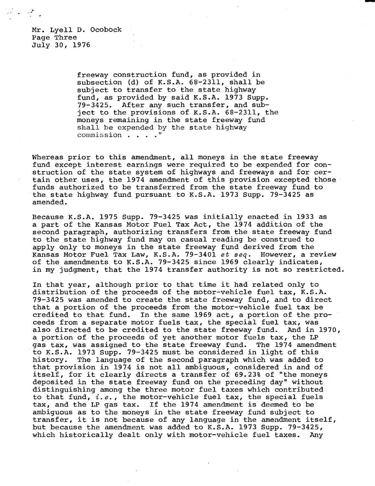Mr. Lyell D. Ocobock Page Three July 30, 1976

> freeway construction fund, as provided in subsection (d) of K.S.A. 68-2311, shall be subject to transfer to the state highway fund, as provided by said K.S.A. 1973 Supp. 79-3425. After any such transfer, and subject to the provisions of K.S.A. 68-2311, the moneys remaining in the state freeway fund shall be expended by the state highway commission . . . ."

Whereas prior to this amendment, all moneys in the state freeway fund except interest earnings were required to be expended for construction of the state system of highways and freeways and for certain other uses, the 1974 amendment of this provision excepted those funds authorized to be transferred from the state freeway fund to the state highway fund pursuant to K.S.A. 1973 Supp. 79-3425 as amended.

Because K.S.A. 1975 Supp. 79-3425 was initially enacted in 1933 as a part of the Kansas Motor Fuel Tax Act, the 1974 addition of the second paragraph, authorizing transfers from the state freeway fund to the state highway fund may on casual reading be construed to apply only to moneys in the state freeway fund derived from the Kansas Motor Fuel Tax Law, K.S.A. 79-3401 et seq. However, a review of the amendments to K.S.A. 79-3425 since 1969 clearly indicates, in my judgment, that the 1974 transfer authority is not so restricted.

In that year, although prior to that time it had related only to distribution of the proceeds of the motor-vehicle fuel tax, K.S.A. 79-3425 was amended to create the state freeway fund, and to direct that a portion of the proceeds from the motor-vehicle fuel tax be credited to that fund. In the same 1969 act, a portion of the proceeds from a separate motor fuels tax, the special fuel tax, was also directed to be credited to the state freeway fund. And in 1970, a portion of the proceeds of yet another motor fuels tax, the LP gas tax, was assigned to the state freeway fund. The 1974 amendment to K.S.A. 1973 Supp. 79-3425 must be considered in light of this history. The language of the second paragraph which was added to that provision in 1974 is not all ambiguous, considered in and of itself, for it clearly directs a transfer of 69.23% of "the moneys deposited in the state freeway fund on the preceding day" without distinguishing among the three motor fuel taxes which contributed to that fund,  $i.e.,$  the motor-vehicle fuel tax, the special fuels tax, and the LP gas tax. If the 1974 amendment is deemed to be ambiguous as to the moneys in the state freeway fund subject to transfer, it is not because of any language in the amendment itself, but because the amendment was added to K.S.A. 1973 Supp. 79-3425, which historically dealt only with motor-vehicle fuel taxes. Any